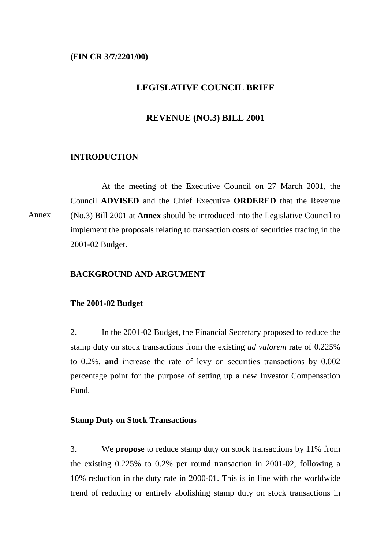### **(FIN CR 3/7/2201/00)**

# **LEGISLATIVE COUNCIL BRIEF**

## **REVENUE (NO.3) BILL 2001**

### **INTRODUCTION**

At the meeting of the Executive Council on 27 March 2001, the Council **ADVISED** and the Chief Executive **ORDERED** that the Revenue (No.3) Bill 2001 at **Annex** should be introduced into the Legislative Council to implement the proposals relating to transaction costs of securities trading in the 2001-02 Budget. Annex

#### **BACKGROUND AND ARGUMENT**

#### **The 2001-02 Budget**

2. In the 2001-02 Budget, the Financial Secretary proposed to reduce the stamp duty on stock transactions from the existing *ad valorem* rate of 0.225% to 0.2%, **and** increase the rate of levy on securities transactions by 0.002 percentage point for the purpose of setting up a new Investor Compensation Fund.

### **Stamp Duty on Stock Transactions**

3. We **propose** to reduce stamp duty on stock transactions by 11% from the existing 0.225% to 0.2% per round transaction in 2001-02, following a 10% reduction in the duty rate in 2000-01. This is in line with the worldwide trend of reducing or entirely abolishing stamp duty on stock transactions in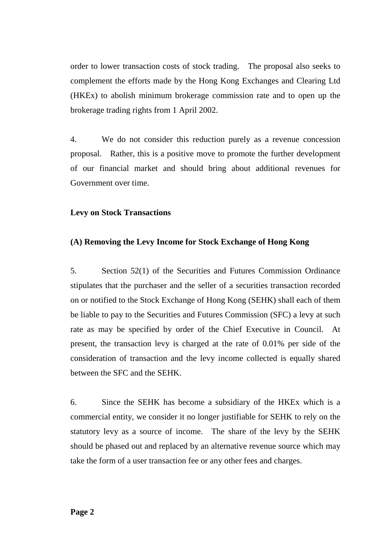order to lower transaction costs of stock trading. The proposal also seeks to complement the efforts made by the Hong Kong Exchanges and Clearing Ltd (HKEx) to abolish minimum brokerage commission rate and to open up the brokerage trading rights from 1 April 2002.

4. We do not consider this reduction purely as a revenue concession proposal. Rather, this is a positive move to promote the further development of our financial market and should bring about additional revenues for Government over time.

## **Levy on Stock Transactions**

# **(A) Removing the Levy Income for Stock Exchange of Hong Kong**

5. Section 52(1) of the Securities and Futures Commission Ordinance stipulates that the purchaser and the seller of a securities transaction recorded on or notified to the Stock Exchange of Hong Kong (SEHK) shall each of them be liable to pay to the Securities and Futures Commission (SFC) a levy at such rate as may be specified by order of the Chief Executive in Council. At present, the transaction levy is charged at the rate of 0.01% per side of the consideration of transaction and the levy income collected is equally shared between the SFC and the SEHK.

6. Since the SEHK has become a subsidiary of the HKEx which is a commercial entity, we consider it no longer justifiable for SEHK to rely on the statutory levy as a source of income. The share of the levy by the SEHK should be phased out and replaced by an alternative revenue source which may take the form of a user transaction fee or any other fees and charges.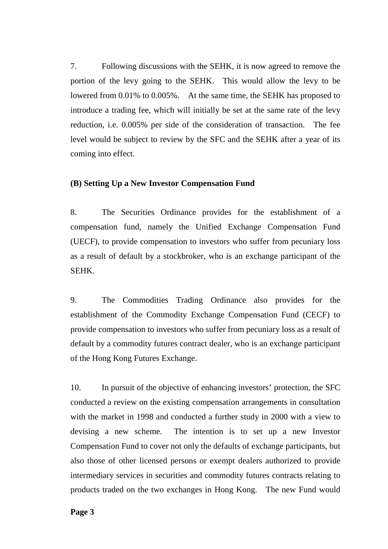7. Following discussions with the SEHK, it is now agreed to remove the portion of the levy going to the SEHK. This would allow the levy to be lowered from 0.01% to 0.005%. At the same time, the SEHK has proposed to introduce a trading fee, which will initially be set at the same rate of the levy reduction, i.e. 0.005% per side of the consideration of transaction. The fee level would be subject to review by the SFC and the SEHK after a year of its coming into effect.

## **(B) Setting Up a New Investor Compensation Fund**

8. The Securities Ordinance provides for the establishment of a compensation fund, namely the Unified Exchange Compensation Fund (UECF), to provide compensation to investors who suffer from pecuniary loss as a result of default by a stockbroker, who is an exchange participant of the SEHK.

9. The Commodities Trading Ordinance also provides for the establishment of the Commodity Exchange Compensation Fund (CECF) to provide compensation to investors who suffer from pecuniary loss as a result of default by a commodity futures contract dealer, who is an exchange participant of the Hong Kong Futures Exchange.

10. In pursuit of the objective of enhancing investors' protection, the SFC conducted a review on the existing compensation arrangements in consultation with the market in 1998 and conducted a further study in 2000 with a view to devising a new scheme. The intention is to set up a new Investor Compensation Fund to cover not only the defaults of exchange participants, but also those of other licensed persons or exempt dealers authorized to provide intermediary services in securities and commodity futures contracts relating to products traded on the two exchanges in Hong Kong. The new Fund would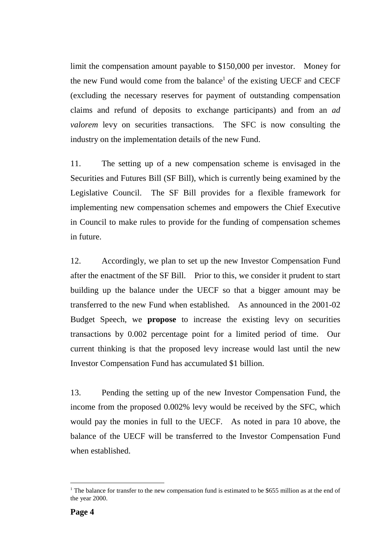limit the compensation amount payable to \$150,000 per investor. Money for the new Fund would come from the balance<sup>1</sup> of the existing UECF and CECF (excluding the necessary reserves for payment of outstanding compensation claims and refund of deposits to exchange participants) and from an *ad valorem* levy on securities transactions. The SFC is now consulting the industry on the implementation details of the new Fund.

11. The setting up of a new compensation scheme is envisaged in the Securities and Futures Bill (SF Bill), which is currently being examined by the Legislative Council. The SF Bill provides for a flexible framework for implementing new compensation schemes and empowers the Chief Executive in Council to make rules to provide for the funding of compensation schemes in future.

12. Accordingly, we plan to set up the new Investor Compensation Fund after the enactment of the SF Bill. Prior to this, we consider it prudent to start building up the balance under the UECF so that a bigger amount may be transferred to the new Fund when established. As announced in the 2001-02 Budget Speech, we **propose** to increase the existing levy on securities transactions by 0.002 percentage point for a limited period of time. Our current thinking is that the proposed levy increase would last until the new Investor Compensation Fund has accumulated \$1 billion.

13. Pending the setting up of the new Investor Compensation Fund, the income from the proposed 0.002% levy would be received by the SFC, which would pay the monies in full to the UECF. As noted in para 10 above, the balance of the UECF will be transferred to the Investor Compensation Fund when established.

 $\overline{a}$ 

<sup>&</sup>lt;sup>1</sup> The balance for transfer to the new compensation fund is estimated to be \$655 million as at the end of the year 2000.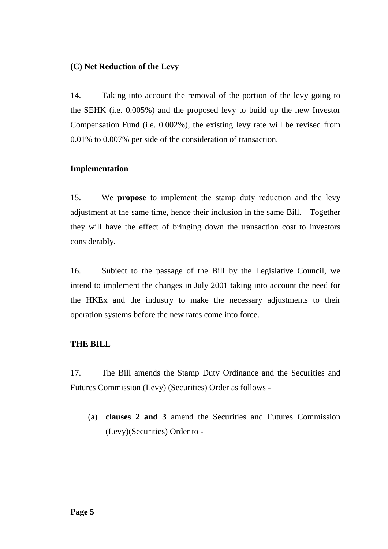# **(C) Net Reduction of the Levy**

14. Taking into account the removal of the portion of the levy going to the SEHK (i.e. 0.005%) and the proposed levy to build up the new Investor Compensation Fund (i.e. 0.002%), the existing levy rate will be revised from 0.01% to 0.007% per side of the consideration of transaction.

## **Implementation**

15. We **propose** to implement the stamp duty reduction and the levy adjustment at the same time, hence their inclusion in the same Bill. Together they will have the effect of bringing down the transaction cost to investors considerably.

16. Subject to the passage of the Bill by the Legislative Council, we intend to implement the changes in July 2001 taking into account the need for the HKEx and the industry to make the necessary adjustments to their operation systems before the new rates come into force.

## **THE BILL**

17. The Bill amends the Stamp Duty Ordinance and the Securities and Futures Commission (Levy) (Securities) Order as follows -

(a) **clauses 2 and 3** amend the Securities and Futures Commission (Levy)(Securities) Order to -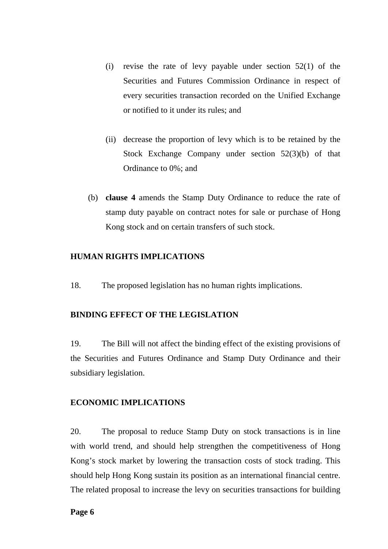- (i) revise the rate of levy payable under section  $52(1)$  of the Securities and Futures Commission Ordinance in respect of every securities transaction recorded on the Unified Exchange or notified to it under its rules; and
- (ii) decrease the proportion of levy which is to be retained by the Stock Exchange Company under section 52(3)(b) of that Ordinance to 0%; and
- (b) **clause 4** amends the Stamp Duty Ordinance to reduce the rate of stamp duty payable on contract notes for sale or purchase of Hong Kong stock and on certain transfers of such stock.

# **HUMAN RIGHTS IMPLICATIONS**

18. The proposed legislation has no human rights implications.

## **BINDING EFFECT OF THE LEGISLATION**

19. The Bill will not affect the binding effect of the existing provisions of the Securities and Futures Ordinance and Stamp Duty Ordinance and their subsidiary legislation.

#### **ECONOMIC IMPLICATIONS**

20. The proposal to reduce Stamp Duty on stock transactions is in line with world trend, and should help strengthen the competitiveness of Hong Kong's stock market by lowering the transaction costs of stock trading. This should help Hong Kong sustain its position as an international financial centre. The related proposal to increase the levy on securities transactions for building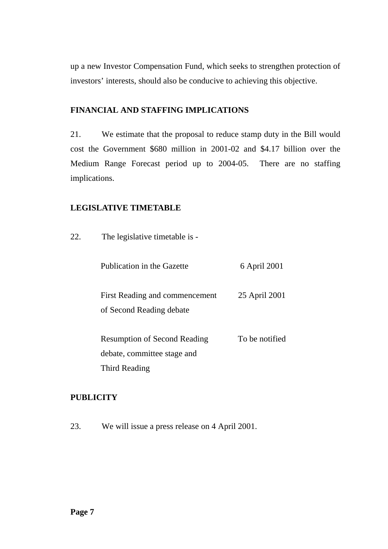up a new Investor Compensation Fund, which seeks to strengthen protection of investors' interests, should also be conducive to achieving this objective.

# **FINANCIAL AND STAFFING IMPLICATIONS**

21. We estimate that the proposal to reduce stamp duty in the Bill would cost the Government \$680 million in 2001-02 and \$4.17 billion over the Medium Range Forecast period up to 2004-05. There are no staffing implications.

# **LEGISLATIVE TIMETABLE**

22. The legislative timetable is -

| Publication in the Gazette | 6 April 2001 |
|----------------------------|--------------|
|----------------------------|--------------|

First Reading and commencement of Second Reading debate 25 April 2001

| <b>Resumption of Second Reading</b> | To be notified |
|-------------------------------------|----------------|
| debate, committee stage and         |                |
| Third Reading                       |                |

# **PUBLICITY**

23. We will issue a press release on 4 April 2001.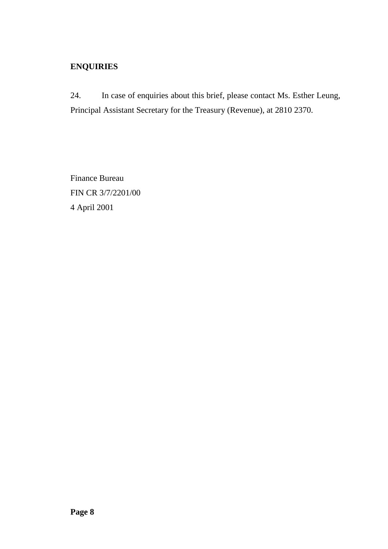# **ENQUIRIES**

24. In case of enquiries about this brief, please contact Ms. Esther Leung, Principal Assistant Secretary for the Treasury (Revenue), at 2810 2370.

Finance Bureau FIN CR 3/7/2201/00 4 April 2001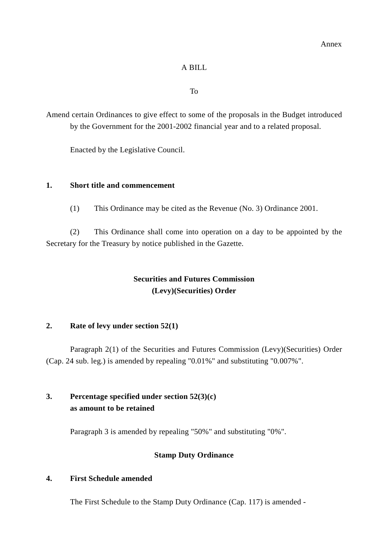## A BILL

### To

Amend certain Ordinances to give effect to some of the proposals in the Budget introduced by the Government for the 2001-2002 financial year and to a related proposal.

Enacted by the Legislative Council.

## **1. Short title and commencement**

(1) This Ordinance may be cited as the Revenue (No. 3) Ordinance 2001.

(2) This Ordinance shall come into operation on a day to be appointed by the Secretary for the Treasury by notice published in the Gazette.

# **Securities and Futures Commission (Levy)(Securities) Order**

# **2. Rate of levy under section 52(1)**

Paragraph 2(1) of the Securities and Futures Commission (Levy)(Securities) Order (Cap. 24 sub. leg.) is amended by repealing "0.01%" and substituting "0.007%".

# **3. Percentage specified under section 52(3)(c) as amount to be retained**

Paragraph 3 is amended by repealing "50%" and substituting "0%".

## **Stamp Duty Ordinance**

# **4. First Schedule amended**

The First Schedule to the Stamp Duty Ordinance (Cap. 117) is amended -